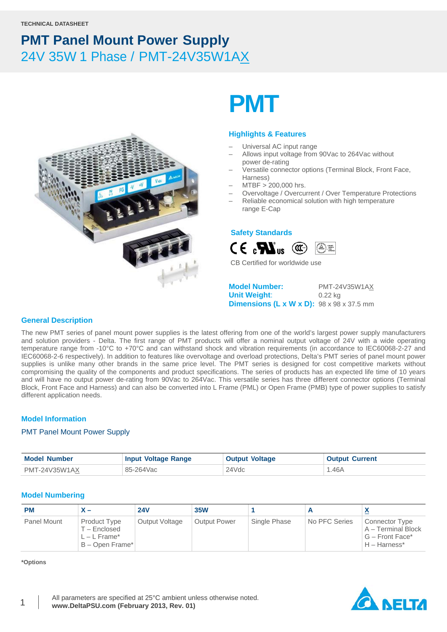

# **PMT**

### **Highlights & Features**

- Universal AC input range
- Allows input voltage from 90Vac to 264Vac without power de-rating
- Versatile connector options (Terminal Block, Front Face, Harness)
- MTBF > 200,000 hrs.
- Overvoltage / Overcurrent / Over Temperature Protections
- Reliable economical solution with high temperature range E-Cap

### **Safety Standards**



CB Certified for worldwide use

**Model Number:** PMT-24V35W1AX **Unit Weight**: 0.22 kg **Dimensions (L x W x D):** 98 x 98 x 37.5 mm

### **General Description**

The new PMT series of panel mount power supplies is the latest offering from one of the world's largest power supply manufacturers and solution providers - Delta. The first range of PMT products will offer a nominal output voltage of 24V with a wide operating temperature range from -10°C to +70°C and can withstand shock and vibration requirements (in accordance to IEC60068-2-27 and IEC60068-2-6 respectively). In addition to features like overvoltage and overload protections, Delta's PMT series of panel mount power supplies is unlike many other brands in the same price level. The PMT series is designed for cost competitive markets without compromising the quality of the components and product specifications. The series of products has an expected life time of 10 years and will have no output power de-rating from 90Vac to 264Vac. This versatile series has three different connector options (Terminal Block, Front Face and Harness) and can also be converted into L Frame (PML) or Open Frame (PMB) type of power supplies to satisfy different application needs.

### **Model Information**

### PMT Panel Mount Power Supply

| <b>Model Number</b> | <b>Input Voltage Range</b> | <b>Output Voltage</b> | <b>Output Current</b> |
|---------------------|----------------------------|-----------------------|-----------------------|
| PMT-24V35W1AX       | 85-264Vac                  | 24Vdc                 | .46A                  |

### **Model Numbering**

| <b>PM</b>   | x —                                                               | <b>24V</b>     | <b>35W</b>          |              |               | $\mathbf{v}$                                                                     |
|-------------|-------------------------------------------------------------------|----------------|---------------------|--------------|---------------|----------------------------------------------------------------------------------|
| Panel Mount | Product Type<br>T – Enclosed<br>$L - L$ Frame*<br>B - Open Frame* | Output Voltage | <b>Output Power</b> | Single Phase | No PFC Series | <b>Connector Type</b><br>A – Terminal Block<br>G – Front Face*<br>$H - Harness*$ |

**\*Options**

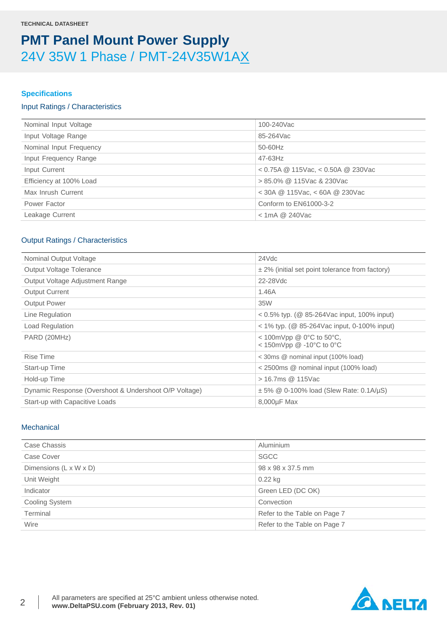### **Specifications**

### Input Ratings / Characteristics

| Nominal Input Voltage   | 100-240Vac                             |
|-------------------------|----------------------------------------|
| Input Voltage Range     | 85-264Vac                              |
| Nominal Input Frequency | 50-60Hz                                |
| Input Frequency Range   | 47-63Hz                                |
| Input Current           | $<$ 0.75A @ 115Vac, $<$ 0.50A @ 230Vac |
| Efficiency at 100% Load | $> 85.0\%$ @ 115Vac & 230Vac           |
| Max Inrush Current      | < 30A @ 115Vac, < 60A @ 230Vac         |
| Power Factor            | Conform to EN61000-3-2                 |
| Leakage Current         | $<$ 1mA @ 240Vac                       |
|                         |                                        |

### Output Ratings / Characteristics

| Nominal Output Voltage                                | 24Vdc                                                                       |
|-------------------------------------------------------|-----------------------------------------------------------------------------|
| Output Voltage Tolerance                              | $\pm$ 2% (initial set point tolerance from factory)                         |
| Output Voltage Adjustment Range                       | 22-28Vdc                                                                    |
| <b>Output Current</b>                                 | 1.46A                                                                       |
| <b>Output Power</b>                                   | 35W                                                                         |
| Line Regulation                                       | $0.5\%$ typ. ( $\circledR$ 85-264Vac input, 100% input)                     |
| Load Regulation                                       | $<$ 1% typ. (@ 85-264Vac input, 0-100% input)                               |
| PARD (20MHz)                                          | < 100mVpp @ $0^{\circ}$ C to 50 $^{\circ}$ C,<br>< 150mVpp $@ -10°C$ to 0°C |
| <b>Rise Time</b>                                      | < 30ms @ nominal input (100% load)                                          |
| Start-up Time                                         | < 2500ms @ nominal input (100% load)                                        |
| Hold-up Time                                          | > 16.7ms @ 115Vac                                                           |
| Dynamic Response (Overshoot & Undershoot O/P Voltage) | $\pm$ 5% @ 0-100% load (Slew Rate: 0.1A/ $\mu$ S)                           |
| Start-up with Capacitive Loads                        | 8,000µF Max                                                                 |

### **Mechanical**

| Case Chassis           | Aluminium                    |
|------------------------|------------------------------|
| Case Cover             | <b>SGCC</b>                  |
| Dimensions (L x W x D) | 98 x 98 x 37.5 mm            |
| Unit Weight            | $0.22$ kg                    |
| Indicator              | Green LED (DC OK)            |
| Cooling System         | Convection                   |
| Terminal               | Refer to the Table on Page 7 |
| Wire                   | Refer to the Table on Page 7 |

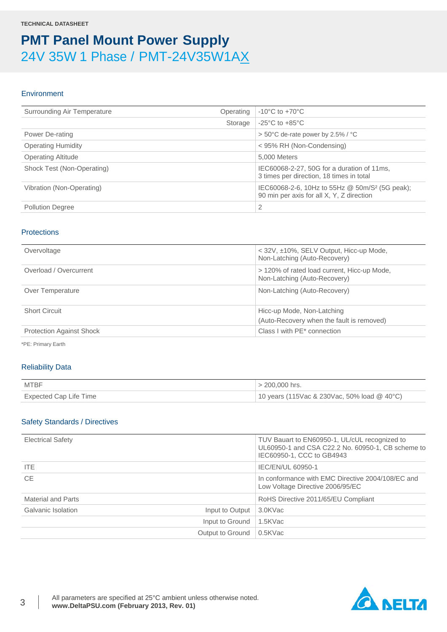### **Environment**

| Surrounding Air Temperature | Operating | $-10^{\circ}$ C to $+70^{\circ}$ C                                                                      |
|-----------------------------|-----------|---------------------------------------------------------------------------------------------------------|
|                             | Storage   | $-25^{\circ}$ C to $+85^{\circ}$ C                                                                      |
| Power De-rating             |           | $> 50^{\circ}$ C de-rate power by 2.5% / $^{\circ}$ C                                                   |
| <b>Operating Humidity</b>   |           | < 95% RH (Non-Condensing)                                                                               |
| <b>Operating Altitude</b>   |           | 5.000 Meters                                                                                            |
| Shock Test (Non-Operating)  |           | IEC60068-2-27, 50G for a duration of 11ms,<br>3 times per direction, 18 times in total                  |
| Vibration (Non-Operating)   |           | IEC60068-2-6, 10Hz to 55Hz @ 50m/S <sup>2</sup> (5G peak);<br>90 min per axis for all X, Y, Z direction |
| <b>Pollution Degree</b>     |           | 2                                                                                                       |

### **Protections**

| Overvoltage                     | < 32V, ±10%, SELV Output, Hicc-up Mode,<br>Non-Latching (Auto-Recovery)     |
|---------------------------------|-----------------------------------------------------------------------------|
| Overload / Overcurrent          | > 120% of rated load current, Hicc-up Mode,<br>Non-Latching (Auto-Recovery) |
| Over Temperature                | Non-Latching (Auto-Recovery)                                                |
| <b>Short Circuit</b>            | Hicc-up Mode, Non-Latching<br>(Auto-Recovery when the fault is removed)     |
| <b>Protection Against Shock</b> | Class I with PE* connection                                                 |

\*PE: Primary Earth

### Reliability Data

| MTBF                   | $> 200,000$ hrs.                            |
|------------------------|---------------------------------------------|
| Expected Cap Life Time | 10 years (115Vac & 230Vac, 50% load @ 40°C) |

### Safety Standards / Directives

| <b>Electrical Safety</b>              | TUV Bauart to EN60950-1, UL/cUL recognized to<br>UL60950-1 and CSA C22.2 No. 60950-1, CB scheme to<br>IEC60950-1, CCC to GB4943 |
|---------------------------------------|---------------------------------------------------------------------------------------------------------------------------------|
| ITE.                                  | IEC/EN/UL 60950-1                                                                                                               |
| <b>CE</b>                             | In conformance with EMC Directive 2004/108/EC and<br>Low Voltage Directive 2006/95/EC                                           |
| Material and Parts                    | RoHS Directive 2011/65/EU Compliant                                                                                             |
| Galvanic Isolation<br>Input to Output | 3.0KVac                                                                                                                         |
| Input to Ground                       | 1.5KVac                                                                                                                         |
| Output to Ground                      | $0.5$ KVac                                                                                                                      |

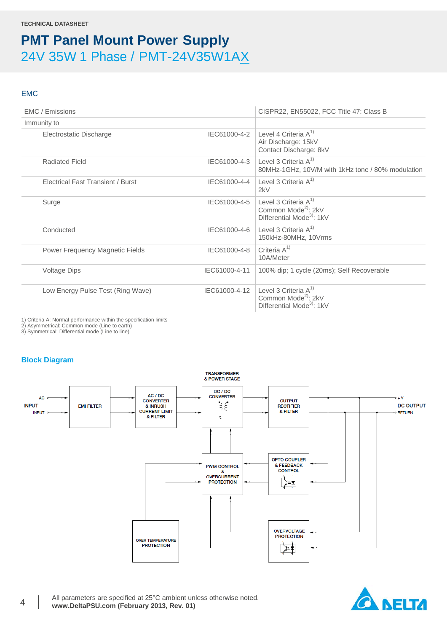### EMC

| EMC / Emissions                          |               | CISPR22, EN55022, FCC Title 47: Class B                                                             |
|------------------------------------------|---------------|-----------------------------------------------------------------------------------------------------|
| Immunity to                              |               |                                                                                                     |
| Electrostatic Discharge                  |               | IEC61000-4-2 Level 4 Criteria $A^{1}$<br>Air Discharge: 15kV<br>Contact Discharge: 8kV              |
| Radiated Field                           | IEC61000-4-3  | Level 3 Criteria $A^{1}$<br>80MHz-1GHz, 10V/M with 1kHz tone / 80% modulation                       |
| <b>Electrical Fast Transient / Burst</b> | IEC61000-4-4  | Level 3 Criteria $A^{1}$<br>2kV                                                                     |
| Surge                                    | IEC61000-4-5  | Level 3 Criteria $A^{1}$<br>Common Mode <sup>2)</sup> : 2kV<br>Differential Mode <sup>3</sup> : 1kV |
| Conducted                                | IEC61000-4-6  | Level 3 Criteria $A^{1}$<br>150kHz-80MHz, 10Vrms                                                    |
| Power Frequency Magnetic Fields          | IEC61000-4-8  | Criteria $A^{1}$<br>10A/Meter                                                                       |
| <b>Voltage Dips</b>                      | IEC61000-4-11 | 100% dip; 1 cycle (20ms); Self Recoverable                                                          |
| Low Energy Pulse Test (Ring Wave)        | IEC61000-4-12 | Level 3 Criteria $A^{1}$<br>Common Mode <sup>2)</sup> : 2kV<br>Differential Mode <sup>3</sup> : 1kV |
|                                          |               |                                                                                                     |

1) Criteria A: Normal performance within the specification limits

2) Asymmetrical: Common mode (Line to earth)

3) Symmetrical: Differential mode (Line to line)

### **Block Diagram**



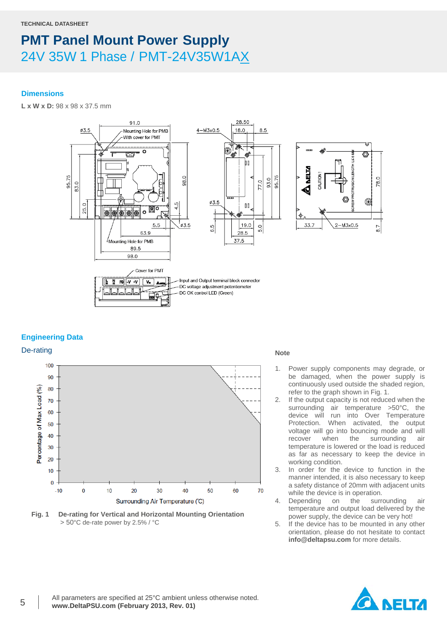### **Dimensions**

**L x W x D:** 98 x 98 x 37.5 mm



### **Engineering Data**



**Fig. 1 De-rating for Vertical and Horizontal Mounting Orientation** > 50°C de-rate power by 2.5% / °C

- 1. Power supply components may degrade, or be damaged, when the power supply is continuously used outside the shaded region, refer to the graph shown in Fig. 1.
- 2. If the output capacity is not reduced when the surrounding air temperature >50°C, the device will run into Over Temperature Protection. When activated, the output voltage will go into bouncing mode and will<br>recover when the surrounding air recover when the surrounding air temperature is lowered or the load is reduced as far as necessary to keep the device in working condition.
- 3. In order for the device to function in the manner intended, it is also necessary to keep a safety distance of 20mm with adjacent units while the device is in operation.
- 4. Depending on the surrounding air temperature and output load delivered by the power supply, the device can be very hot!
- 5. If the device has to be mounted in any other orientation, please do not hesitate to contact **info@deltapsu.com** for more details.

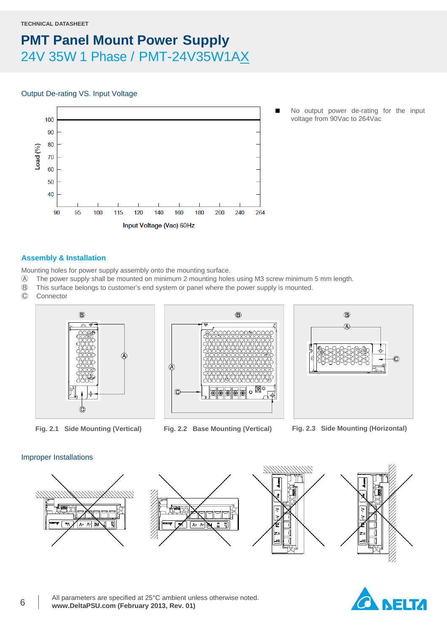#### **TECHNICAL DATASHEET**

### **PMT Panel Mount Power Supply** 24V 35W 1 Phase / PMT-24V35W1AX

### Output De-rating VS. Input Voltage



 No output power de-rating for the input voltage from 90Vac to 264Vac

### **Assembly & Installation**

Mounting holes for power supply assembly onto the mounting surface.

- Ⓐ The power supply shall be mounted on minimum 2 mounting holes using M3 screw minimum 5 mm length.
- Ⓑ This surface belongs to customer's end system or panel where the power supply is mounted.
- **Connector**







**Fig. 2.1 Side Mounting (Vertical) Fig. 2.2 Base Mounting (Vertical) Fig. 2.3 Side Mounting (Horizontal)**

### Improper Installations



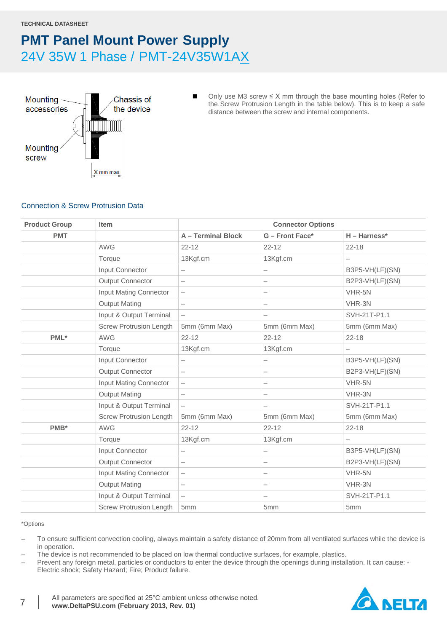

■ Only use M3 screw  $\leq$  X mm through the base mounting holes (Refer to the Screw Protrusion Length in the table below). This is to keep a safe distance between the screw and internal components.

### Connection & Screw Protrusion Data

| <b>Product Group</b> | <b>Item</b>                    |                          | <b>Connector Options</b> |                   |
|----------------------|--------------------------------|--------------------------|--------------------------|-------------------|
| <b>PMT</b>           |                                | A - Terminal Block       | G - Front Face*          | $H - Harness*$    |
|                      | <b>AWG</b>                     | $22 - 12$                | $22 - 12$                | $22 - 18$         |
|                      | Torque                         | 13Kgf.cm                 | 13Kgf.cm                 |                   |
|                      | Input Connector                | $\overline{\phantom{0}}$ | $\overline{\phantom{0}}$ | B3P5-VH(LF)(SN)   |
|                      | <b>Output Connector</b>        | $\overline{\phantom{m}}$ | $\overline{\phantom{m}}$ | B2P3-VH(LF)(SN)   |
|                      | Input Mating Connector         | $\overline{\phantom{m}}$ | $\overline{\phantom{0}}$ | VHR-5N            |
|                      | <b>Output Mating</b>           | $\overline{\phantom{m}}$ | $\overline{\phantom{0}}$ | VHR-3N            |
|                      | Input & Output Terminal        | $\overline{\phantom{m}}$ | $\overline{\phantom{m}}$ | SVH-21T-P1.1      |
|                      | <b>Screw Protrusion Length</b> | 5mm (6mm Max)            | 5mm (6mm Max)            | 5mm (6mm Max)     |
| PML*                 | <b>AWG</b>                     | $22 - 12$                | $22 - 12$                | $22 - 18$         |
|                      | Torque                         | 13Kgf.cm                 | 13Kgf.cm                 |                   |
|                      | Input Connector                | $\qquad \qquad -$        | $\qquad \qquad -$        | B3P5-VH(LF)(SN)   |
|                      | <b>Output Connector</b>        | $\overline{\phantom{0}}$ | $\overline{\phantom{0}}$ | B2P3-VH(LF)(SN)   |
|                      | Input Mating Connector         | $\qquad \qquad -$        | $\overline{\phantom{0}}$ | VHR-5N            |
|                      | <b>Output Mating</b>           | $\overline{\phantom{m}}$ | $\qquad \qquad -$        | VHR-3N            |
|                      | Input & Output Terminal        | $\overline{\phantom{0}}$ | $\overline{\phantom{m}}$ | SVH-21T-P1.1      |
|                      | <b>Screw Protrusion Length</b> | 5mm (6mm Max)            | 5mm (6mm Max)            | 5mm (6mm Max)     |
| PMB*                 | <b>AWG</b>                     | $22 - 12$                | $22 - 12$                | $22 - 18$         |
|                      | Torque                         | 13Kgf.cm                 | 13Kgf.cm                 | $\qquad \qquad -$ |
|                      | Input Connector                | $\overline{\phantom{0}}$ | $\overline{\phantom{m}}$ | B3P5-VH(LF)(SN)   |
|                      | Output Connector               | $\qquad \qquad -$        | $\overline{\phantom{0}}$ | B2P3-VH(LF)(SN)   |
|                      | Input Mating Connector         | $\overline{\phantom{m}}$ | $\overline{\phantom{m}}$ | VHR-5N            |
|                      | <b>Output Mating</b>           | $\overline{\phantom{m}}$ |                          | VHR-3N            |
|                      | Input & Output Terminal        | $\qquad \qquad -$        | $\overline{\phantom{0}}$ | SVH-21T-P1.1      |
|                      | <b>Screw Protrusion Length</b> | 5mm                      | 5mm                      | 5mm               |

#### \*Options

- To ensure sufficient convection cooling, always maintain a safety distance of 20mm from all ventilated surfaces while the device is in operation.
- The device is not recommended to be placed on low thermal conductive surfaces, for example, plastics.
- Prevent any foreign metal, particles or conductors to enter the device through the openings during installation. It can cause: Electric shock; Safety Hazard; Fire; Product failure.

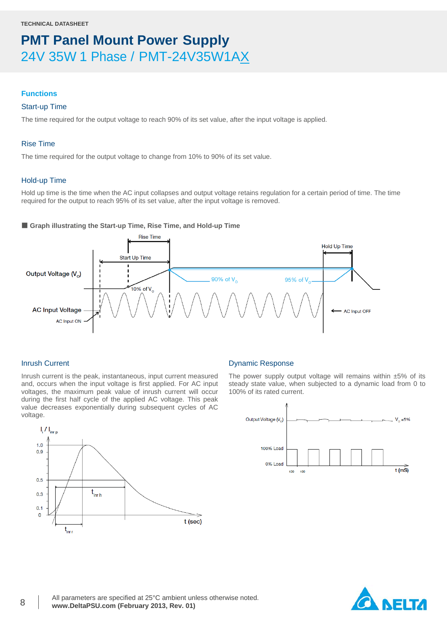### **Functions**

### Start-up Time

The time required for the output voltage to reach 90% of its set value, after the input voltage is applied.

### Rise Time

The time required for the output voltage to change from 10% to 90% of its set value.

### Hold-up Time

Hold up time is the time when the AC input collapses and output voltage retains regulation for a certain period of time. The time required for the output to reach 95% of its set value, after the input voltage is removed.

### ■ Graph illustrating the Start-up Time, Rise Time, and Hold-up Time



### Inrush Current

Inrush current is the peak, instantaneous, input current measured and, occurs when the input voltage is first applied. For AC input voltages, the maximum peak value of inrush current will occur during the first half cycle of the applied AC voltage. This peak value decreases exponentially during subsequent cycles of AC voltage.



### Dynamic Response

The power supply output voltage will remains within  $±5\%$  of its steady state value, when subjected to a dynamic load from 0 to 100% of its rated current.



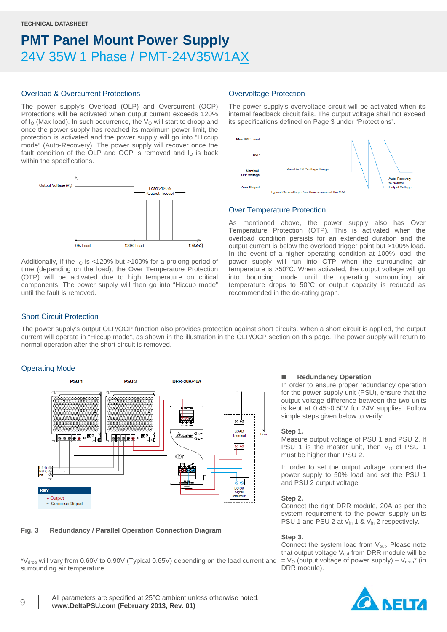### Overload & Overcurrent Protections

The power supply's Overload (OLP) and Overcurrent (OCP) Protections will be activated when output current exceeds 120% of  $I<sub>O</sub>$  (Max load). In such occurrence, the  $V<sub>O</sub>$  will start to droop and once the power supply has reached its maximum power limit, the protection is activated and the power supply will go into "Hiccup mode" (Auto-Recovery). The power supply will recover once the fault condition of the OLP and OCP is removed and  $I<sub>O</sub>$  is back within the specifications.



Additionally, if the  $I<sub>0</sub>$  is <120% but >100% for a prolong period of time (depending on the load), the Over Temperature Protection (OTP) will be activated due to high temperature on critical components. The power supply will then go into "Hiccup mode" until the fault is removed.

### Overvoltage Protection

The power supply's overvoltage circuit will be activated when its internal feedback circuit fails. The output voltage shall not exceed its specifications defined on Page 3 under "Protections".



### Over Temperature Protection

As mentioned above, the power supply also has Over Temperature Protection (OTP). This is activated when the overload condition persists for an extended duration and the output current is below the overload trigger point but >100% load. In the event of a higher operating condition at 100% load, the power supply will run into OTP when the surrounding air temperature is >50°C. When activated, the output voltage will go into bouncing mode until the operating surrounding air temperature drops to 50°C or output capacity is reduced as recommended in the de-rating graph.

### Short Circuit Protection

The power supply's output OLP/OCP function also provides protection against short circuits. When a short circuit is applied, the output current will operate in "Hiccup mode", as shown in the illustration in the OLP/OCP section on this page. The power supply will return to normal operation after the short circuit is removed.

### Operating Mode



### **Fig. 3 Redundancy / Parallel Operation Connection Diagram**

\*Vdrop will vary from 0.60V to 0.90V (Typical 0.65V) depending on the load current and surrounding air temperature.

#### **Redundancy Operation**

In order to ensure proper redundancy operation for the power supply unit (PSU), ensure that the output voltage difference between the two units is kept at 0.45~0.50V for 24V supplies. Follow simple steps given below to verify:

#### **Step 1.**

Measure output voltage of PSU 1 and PSU 2. If PSU 1 is the master unit, then  $V<sub>O</sub>$  of PSU 1 must be higher than PSU 2.

In order to set the output voltage, connect the power supply to 50% load and set the PSU 1 and PSU 2 output voltage.

#### **Step 2.**

Connect the right DRR module, 20A as per the system requirement to the power supply units PSU 1 and PSU 2 at V<sub>in</sub> 1 & V<sub>in</sub> 2 respectively.

#### **Step 3.**

Connect the system load from V<sub>out</sub>. Please note that output voltage  $V_{out}$  from DRR module will be  $=$  V<sub>0</sub> (output voltage of power supply) – V<sub>drop</sub><sup>\*</sup> (in DRR module).